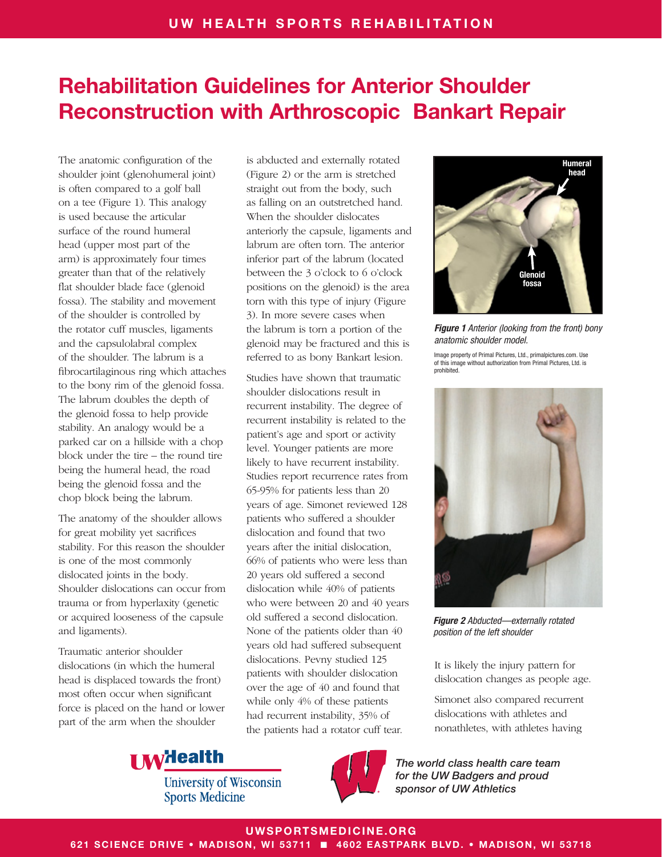The anatomic configuration of the shoulder joint (glenohumeral joint) is often compared to a golf ball on a tee (Figure 1). This analogy is used because the articular surface of the round humeral head (upper most part of the arm) is approximately four times greater than that of the relatively flat shoulder blade face (glenoid fossa). The stability and movement of the shoulder is controlled by the rotator cuff muscles, ligaments and the capsulolabral complex of the shoulder. The labrum is a fibrocartilaginous ring which attaches to the bony rim of the glenoid fossa. The labrum doubles the depth of the glenoid fossa to help provide stability. An analogy would be a parked car on a hillside with a chop block under the tire – the round tire being the humeral head, the road being the glenoid fossa and the chop block being the labrum.

The anatomy of the shoulder allows for great mobility yet sacrifices stability. For this reason the shoulder is one of the most commonly dislocated joints in the body. Shoulder dislocations can occur from trauma or from hyperlaxity (genetic or acquired looseness of the capsule and ligaments).

Traumatic anterior shoulder dislocations (in which the humeral head is displaced towards the front) most often occur when significant force is placed on the hand or lower part of the arm when the shoulder

is abducted and externally rotated (Figure 2) or the arm is stretched straight out from the body, such as falling on an outstretched hand. When the shoulder dislocates anteriorly the capsule, ligaments and labrum are often torn. The anterior inferior part of the labrum (located between the 3 o'clock to 6 o'clock positions on the glenoid) is the area torn with this type of injury (Figure 3). In more severe cases when the labrum is torn a portion of the glenoid may be fractured and this is referred to as bony Bankart lesion.

Studies have shown that traumatic shoulder dislocations result in recurrent instability. The degree of recurrent instability is related to the patient's age and sport or activity level. Younger patients are more likely to have recurrent instability. Studies report recurrence rates from 65-95% for patients less than 20 years of age. Simonet reviewed 128 patients who suffered a shoulder dislocation and found that two years after the initial dislocation, 66% of patients who were less than 20 years old suffered a second dislocation while 40% of patients who were between 20 and 40 years old suffered a second dislocation. None of the patients older than 40 years old had suffered subsequent dislocations. Pevny studied 125 patients with shoulder dislocation over the age of 40 and found that while only 4% of these patients had recurrent instability, 35% of the patients had a rotator cuff tear.



*Figure 1 Anterior (looking from the front) bony anatomic shoulder model.*

Image property of Primal Pictures, Ltd., primalpictures.com. Use of this image without authorization from Primal Pictures, Ltd. is prohibited.



*Figure 2 Abducted—externally rotated position of the left shoulder*

It is likely the injury pattern for dislocation changes as people age.

Simonet also compared recurrent dislocations with athletes and nonathletes, with athletes having

*The world class health care team for the UW Badgers and proud sponsor of UW Athletics*



**University of Wisconsin Sports Medicine** 



UWSPORTSMEDICINE.ORG

621 SCIENCE DRIVE • MADISON, WI 53711 ■ 4602 EASTPARK BLVD. • MADISON, WI 53718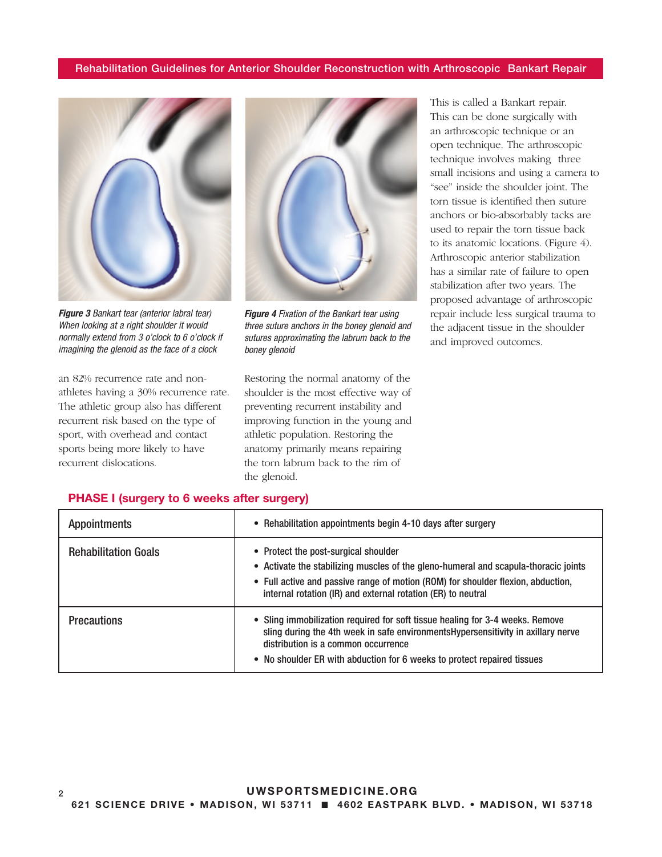

*Figure 3 Bankart tear (anterior labral tear) When looking at a right shoulder it would normally extend from 3 o'clock to 6 o'clock if imagining the glenoid as the face of a clock*

an 82% recurrence rate and nonathletes having a 30% recurrence rate. The athletic group also has different recurrent risk based on the type of sport, with overhead and contact sports being more likely to have recurrent dislocations.



*Figure 4 Fixation of the Bankart tear using three suture anchors in the boney glenoid and sutures approximating the labrum back to the boney glenoid*

Restoring the normal anatomy of the shoulder is the most effective way of preventing recurrent instability and improving function in the young and athletic population. Restoring the anatomy primarily means repairing the torn labrum back to the rim of the glenoid.

This is called a Bankart repair. This can be done surgically with an arthroscopic technique or an open technique. The arthroscopic technique involves making three small incisions and using a camera to "see" inside the shoulder joint. The torn tissue is identified then suture anchors or bio-absorbably tacks are used to repair the torn tissue back to its anatomic locations. (Figure 4). Arthroscopic anterior stabilization has a similar rate of failure to open stabilization after two years. The proposed advantage of arthroscopic repair include less surgical trauma to the adjacent tissue in the shoulder and improved outcomes.

| <b>Appointments</b>         | • Rehabilitation appointments begin 4-10 days after surgery                                                                                                                                                                                                                          |
|-----------------------------|--------------------------------------------------------------------------------------------------------------------------------------------------------------------------------------------------------------------------------------------------------------------------------------|
| <b>Rehabilitation Goals</b> | • Protect the post-surgical shoulder<br>• Activate the stabilizing muscles of the gleno-humeral and scapula-thoracic joints<br>• Full active and passive range of motion (ROM) for shoulder flexion, abduction,<br>internal rotation (IR) and external rotation (ER) to neutral      |
| <b>Precautions</b>          | • Sling immobilization required for soft tissue healing for 3-4 weeks. Remove<br>sling during the 4th week in safe environments Hypersensitivity in axillary nerve<br>distribution is a common occurrence<br>• No shoulder ER with abduction for 6 weeks to protect repaired tissues |

#### PHASE I (surgery to 6 weeks after surgery)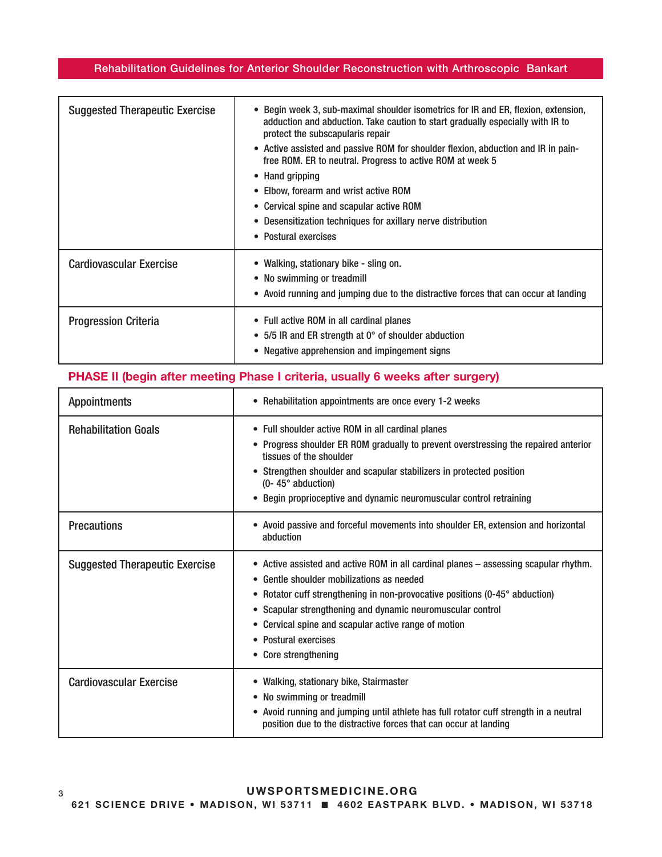| <b>Suggested Therapeutic Exercise</b> | • Begin week 3, sub-maximal shoulder isometrics for IR and ER, flexion, extension,<br>adduction and abduction. Take caution to start gradually especially with IR to<br>protect the subscapularis repair<br>• Active assisted and passive ROM for shoulder flexion, abduction and IR in pain-<br>free ROM. ER to neutral. Progress to active ROM at week 5<br>• Hand gripping<br>• Elbow, forearm and wrist active ROM<br>• Cervical spine and scapular active ROM<br>• Desensitization techniques for axillary nerve distribution<br>• Postural exercises |
|---------------------------------------|------------------------------------------------------------------------------------------------------------------------------------------------------------------------------------------------------------------------------------------------------------------------------------------------------------------------------------------------------------------------------------------------------------------------------------------------------------------------------------------------------------------------------------------------------------|
| <b>Cardiovascular Exercise</b>        | • Walking, stationary bike - sling on.<br>• No swimming or treadmill<br>• Avoid running and jumping due to the distractive forces that can occur at landing                                                                                                                                                                                                                                                                                                                                                                                                |
| <b>Progression Criteria</b>           | • Full active ROM in all cardinal planes<br>• 5/5 IR and ER strength at 0° of shoulder abduction<br>• Negative apprehension and impingement signs                                                                                                                                                                                                                                                                                                                                                                                                          |

# PHASE II (begin after meeting Phase I criteria, usually 6 weeks after surgery)

| <b>Appointments</b>                   | • Rehabilitation appointments are once every 1-2 weeks                                                                                                                                                                                                                                                                                                                                 |
|---------------------------------------|----------------------------------------------------------------------------------------------------------------------------------------------------------------------------------------------------------------------------------------------------------------------------------------------------------------------------------------------------------------------------------------|
| <b>Rehabilitation Goals</b>           | • Full shoulder active ROM in all cardinal planes<br>• Progress shoulder ER ROM gradually to prevent overstressing the repaired anterior<br>tissues of the shoulder<br>• Strengthen shoulder and scapular stabilizers in protected position<br>$(0 - 45^{\circ}$ abduction)<br>• Begin proprioceptive and dynamic neuromuscular control retraining                                     |
| <b>Precautions</b>                    | • Avoid passive and forceful movements into shoulder ER, extension and horizontal<br>abduction                                                                                                                                                                                                                                                                                         |
| <b>Suggested Therapeutic Exercise</b> | • Active assisted and active ROM in all cardinal planes – assessing scapular rhythm.<br>• Gentle shoulder mobilizations as needed<br>• Rotator cuff strengthening in non-provocative positions (0-45° abduction)<br>• Scapular strengthening and dynamic neuromuscular control<br>• Cervical spine and scapular active range of motion<br>• Postural exercises<br>• Core strengthening |
| <b>Cardiovascular Exercise</b>        | • Walking, stationary bike, Stairmaster<br>• No swimming or treadmill<br>• Avoid running and jumping until athlete has full rotator cuff strength in a neutral<br>position due to the distractive forces that can occur at landing                                                                                                                                                     |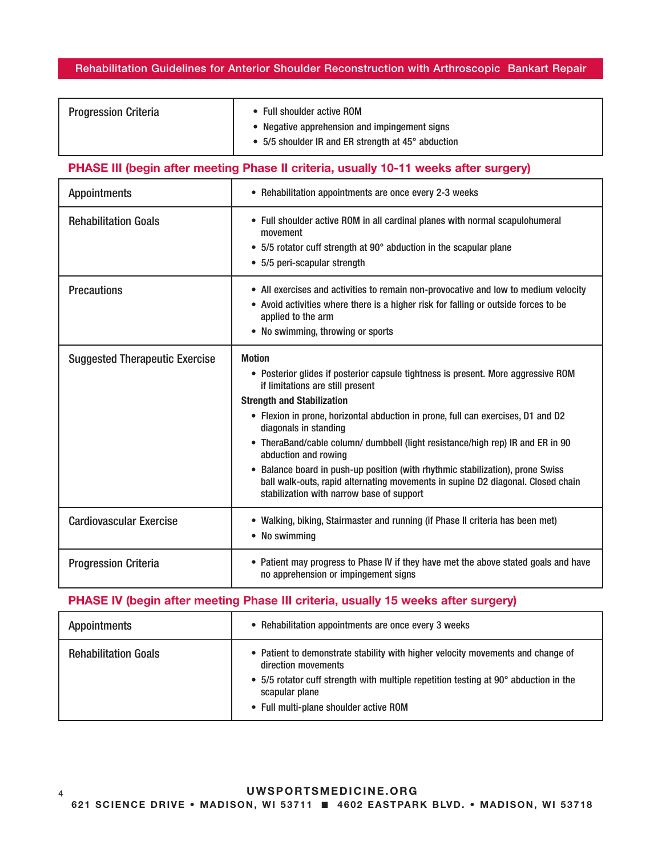| <b>Progression Criteria</b> | • Full shoulder active ROM                         |
|-----------------------------|----------------------------------------------------|
|                             | Negative apprehension and impingement signs        |
|                             | • 5/5 shoulder IR and ER strength at 45° abduction |

# PHASE III (begin after meeting Phase II criteria, usually 10-11 weeks after surgery)

| <b>Appointments</b>                   | • Rehabilitation appointments are once every 2-3 weeks                                                                                                                                                                                                                                                                                                                                                                                                                                                                                                                                                                          |
|---------------------------------------|---------------------------------------------------------------------------------------------------------------------------------------------------------------------------------------------------------------------------------------------------------------------------------------------------------------------------------------------------------------------------------------------------------------------------------------------------------------------------------------------------------------------------------------------------------------------------------------------------------------------------------|
| <b>Rehabilitation Goals</b>           | • Full shoulder active ROM in all cardinal planes with normal scapulohumeral<br>movement<br>• 5/5 rotator cuff strength at 90° abduction in the scapular plane<br>• 5/5 peri-scapular strength                                                                                                                                                                                                                                                                                                                                                                                                                                  |
| <b>Precautions</b>                    | • All exercises and activities to remain non-provocative and low to medium velocity<br>• Avoid activities where there is a higher risk for falling or outside forces to be<br>applied to the arm<br>• No swimming, throwing or sports                                                                                                                                                                                                                                                                                                                                                                                           |
| <b>Suggested Therapeutic Exercise</b> | <b>Motion</b><br>• Posterior glides if posterior capsule tightness is present. More aggressive ROM<br>if limitations are still present<br><b>Strength and Stabilization</b><br>• Flexion in prone, horizontal abduction in prone, full can exercises, D1 and D2<br>diagonals in standing<br>• TheraBand/cable column/ dumbbell (light resistance/high rep) IR and ER in 90<br>abduction and rowing<br>Balance board in push-up position (with rhythmic stabilization), prone Swiss<br>$\bullet$<br>ball walk-outs, rapid alternating movements in supine D2 diagonal. Closed chain<br>stabilization with narrow base of support |
| <b>Cardiovascular Exercise</b>        | • Walking, biking, Stairmaster and running (if Phase II criteria has been met)<br>• No swimming                                                                                                                                                                                                                                                                                                                                                                                                                                                                                                                                 |
| <b>Progression Criteria</b>           | • Patient may progress to Phase IV if they have met the above stated goals and have<br>no apprehension or impingement signs                                                                                                                                                                                                                                                                                                                                                                                                                                                                                                     |

# PHASE IV (begin after meeting Phase III criteria, usually 15 weeks after surgery)

| <b>Appointments</b>         | • Rehabilitation appointments are once every 3 weeks                                                                                                                                                                                                       |
|-----------------------------|------------------------------------------------------------------------------------------------------------------------------------------------------------------------------------------------------------------------------------------------------------|
| <b>Rehabilitation Goals</b> | • Patient to demonstrate stability with higher velocity movements and change of<br>direction movements<br>• 5/5 rotator cuff strength with multiple repetition testing at 90° abduction in the<br>scapular plane<br>• Full multi-plane shoulder active ROM |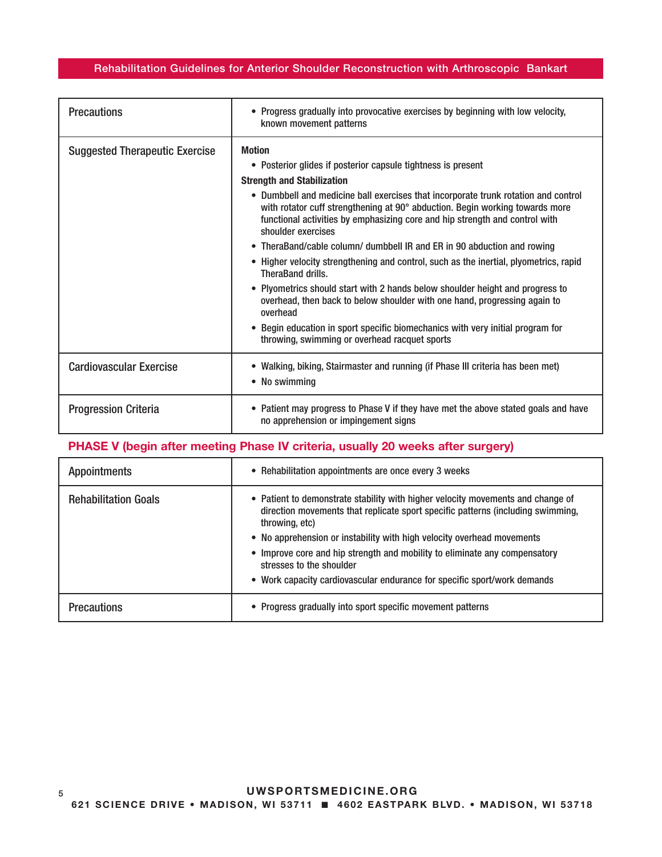| <b>Precautions</b>                    | • Progress gradually into provocative exercises by beginning with low velocity,<br>known movement patterns                                                                                                                                                                                                                                                                                                                                                                                                                                                                                                                                                                                                                                                                                                                                                                                                                         |
|---------------------------------------|------------------------------------------------------------------------------------------------------------------------------------------------------------------------------------------------------------------------------------------------------------------------------------------------------------------------------------------------------------------------------------------------------------------------------------------------------------------------------------------------------------------------------------------------------------------------------------------------------------------------------------------------------------------------------------------------------------------------------------------------------------------------------------------------------------------------------------------------------------------------------------------------------------------------------------|
| <b>Suggested Therapeutic Exercise</b> | <b>Motion</b><br>• Posterior glides if posterior capsule tightness is present<br><b>Strength and Stabilization</b><br>• Dumbbell and medicine ball exercises that incorporate trunk rotation and control<br>with rotator cuff strengthening at 90° abduction. Begin working towards more<br>functional activities by emphasizing core and hip strength and control with<br>shoulder exercises<br>TheraBand/cable column/ dumbbell IR and ER in 90 abduction and rowing<br>Higher velocity strengthening and control, such as the inertial, plyometrics, rapid<br>$\bullet$<br>TheraBand drills.<br>Plyometrics should start with 2 hands below shoulder height and progress to<br>$\bullet$<br>overhead, then back to below shoulder with one hand, progressing again to<br>overhead<br>Begin education in sport specific biomechanics with very initial program for<br>$\bullet$<br>throwing, swimming or overhead racquet sports |
| <b>Cardiovascular Exercise</b>        | • Walking, biking, Stairmaster and running (if Phase III criteria has been met)<br>• No swimming                                                                                                                                                                                                                                                                                                                                                                                                                                                                                                                                                                                                                                                                                                                                                                                                                                   |
| <b>Progression Criteria</b>           | • Patient may progress to Phase V if they have met the above stated goals and have<br>no apprehension or impingement signs                                                                                                                                                                                                                                                                                                                                                                                                                                                                                                                                                                                                                                                                                                                                                                                                         |

# PHASE V (begin after meeting Phase IV criteria, usually 20 weeks after surgery)

| <b>Appointments</b>         | • Rehabilitation appointments are once every 3 weeks                                                                                                                                 |
|-----------------------------|--------------------------------------------------------------------------------------------------------------------------------------------------------------------------------------|
| <b>Rehabilitation Goals</b> | • Patient to demonstrate stability with higher velocity movements and change of<br>direction movements that replicate sport specific patterns (including swimming,<br>throwing, etc) |
|                             | • No apprehension or instability with high velocity overhead movements                                                                                                               |
|                             | • Improve core and hip strength and mobility to eliminate any compensatory<br>stresses to the shoulder                                                                               |
|                             | • Work capacity cardiovascular endurance for specific sport/work demands                                                                                                             |
| <b>Precautions</b>          | • Progress gradually into sport specific movement patterns                                                                                                                           |